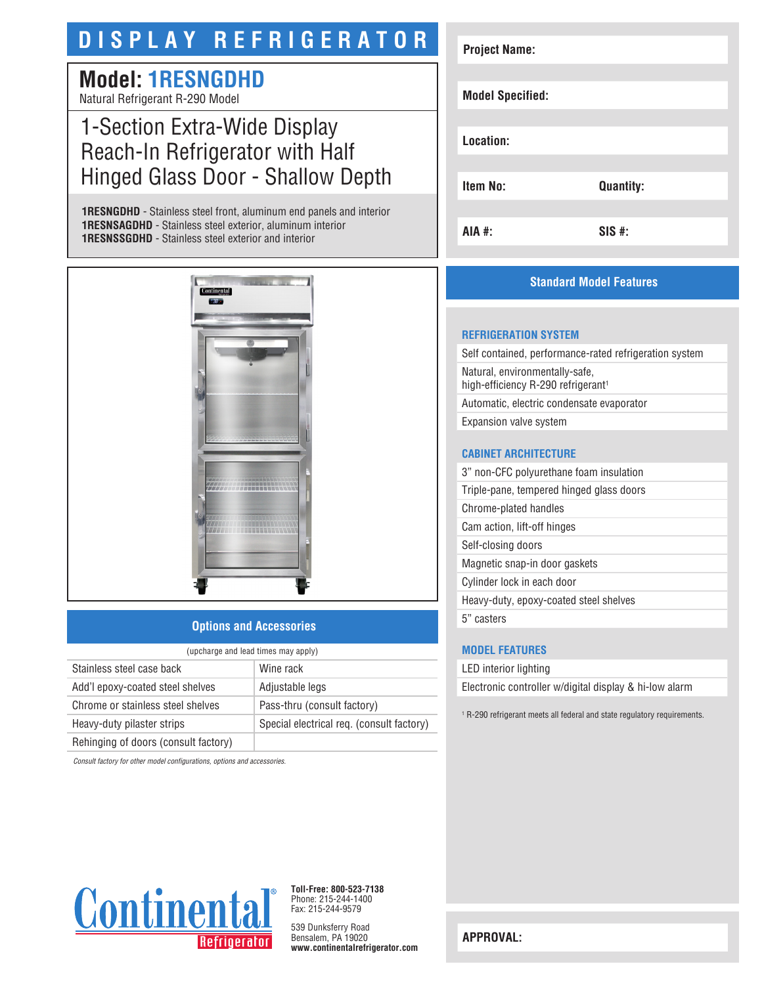# **DISPLAY REFRIGERATOR**

# **Model: 1RESNGDHD** Natural Refrigerant R-290 Model

# 1-Section Extra-Wide Display Reach-In Refrigerator with Half Hinged Glass Door - Shallow Depth

**1RESNGDHD** - Stainless steel front, aluminum end panels and interior **1RESNSAGDHD** - Stainless steel exterior, aluminum interior **1RESNSSGDHD** - Stainless steel exterior and interior



# **Options and Accessories**

| (upcharge and lead times may apply)  |                                           |  |
|--------------------------------------|-------------------------------------------|--|
| Stainless steel case back            | Wine rack                                 |  |
| Add'l epoxy-coated steel shelves     | Adjustable legs                           |  |
| Chrome or stainless steel shelves    | Pass-thru (consult factory)               |  |
| Heavy-duty pilaster strips           | Special electrical req. (consult factory) |  |
| Rehinging of doors (consult factory) |                                           |  |

*Consult factory for other model configurations, options and accessories.*



# **Standard Model Features**

#### **REFRIGERATION SYSTEM**

Self contained, performance-rated refrigeration system Natural, environmentally-safe, high-efficiency R-290 refrigerant<sup>1</sup> Automatic, electric condensate evaporator Expansion valve system

### **CABINET ARCHITECTURE**

3" non-CFC polyurethane foam insulation Triple-pane, tempered hinged glass doors Chrome-plated handles Cam action, lift-off hinges Self-closing doors Magnetic snap-in door gaskets Cylinder lock in each door Heavy-duty, epoxy-coated steel shelves

5" casters

# **MODEL FEATURES**

LED interior lighting

Electronic controller w/digital display & hi-low alarm

1 R-290 refrigerant meets all federal and state regulatory requirements.



**Toll-Free: 800-523-7138** Phone: 215-244-1400 Fax: 215-244-9579

539 Dunksferry Road Bensalem, PA 19020 **www.continentalrefrigerator.com** 

**APPROVAL:**